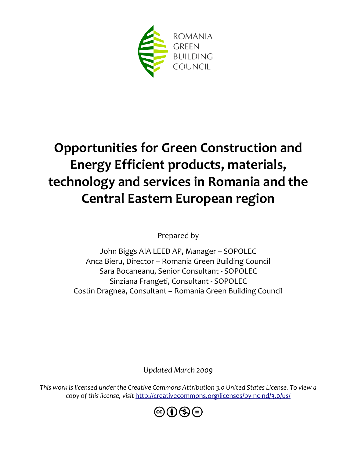

# **Opportunities for Green Construction and Energy Efficient products, materials, technology and services in Romania and the Central Eastern European region**

Prepared by

John Biggs AIA LEED AP, Manager – SOPOLEC Anca Bieru, Director – Romania Green Building Council Sara Bocaneanu, Senior Consultant - SOPOLEC Sinziana Frangeti, Consultant - SOPOLEC Costin Dragnea, Consultant – Romania Green Building Council

*Updated March 2009*

*This work is licensed under the Creative Commons Attribution 3.0 United States License. To view a copy of this license, visit* <http://creativecommons.org/licenses/by-nc-nd/3.0/us/>

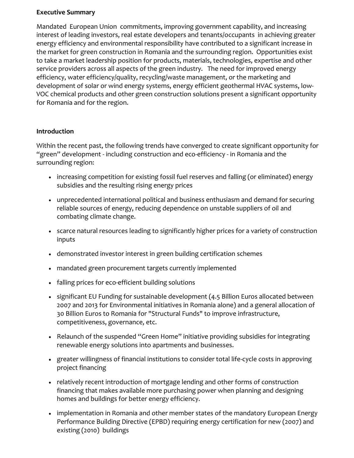#### **Executive Summary**

Mandated European Union commitments, improving government capability, and increasing interest of leading investors, real estate developers and tenants/occupants in achieving greater energy efficiency and environmental responsibility have contributed to a significant increase in the market for green construction in Romania and the surrounding region. Opportunities exist to take a market leadership position for products, materials, technologies, expertise and other service providers across all aspects of the green industry. The need for improved energy efficiency, water efficiency/quality, recycling/waste management, or the marketing and development of solar or wind energy systems, energy efficient geothermal HVAC systems, low-VOC chemical products and other green construction solutions present a significant opportunity for Romania and for the region.

#### **Introduction**

Within the recent past, the following trends have converged to create significant opportunity for "green" development - including construction and eco-efficiency - in Romania and the surrounding region:

- increasing competition for existing fossil fuel reserves and falling (or eliminated) energy subsidies and the resulting rising energy prices
- unprecedented international political and business enthusiasm and demand for securing reliable sources of energy, reducing dependence on unstable suppliers of oil and combating climate change.
- scarce natural resources leading to significantly higher prices for a variety of construction inputs
- demonstrated investor interest in green building certification schemes
- mandated green procurement targets currently implemented
- falling prices for eco-efficient building solutions
- significant EU Funding for sustainable development (4.5 Billion Euros allocated between 2007 and 2013 for Environmental initiatives in Romania alone) and a general allocation of 30 Billion Euros to Romania for "Structural Funds" to improve infrastructure, competitiveness, governance, etc.
- Relaunch of the suspended "Green Home" initiative providing subsidies for integrating renewable energy solutions into apartments and businesses.
- greater willingness of financial institutions to consider total life-cycle costs in approving project financing
- relatively recent introduction of mortgage lending and other forms of construction financing that makes available more purchasing power when planning and designing homes and buildings for better energy efficiency.
- implementation in Romania and other member states of the mandatory European Energy Performance Building Directive (EPBD) requiring energy certification for new (2007) and existing (2010) buildings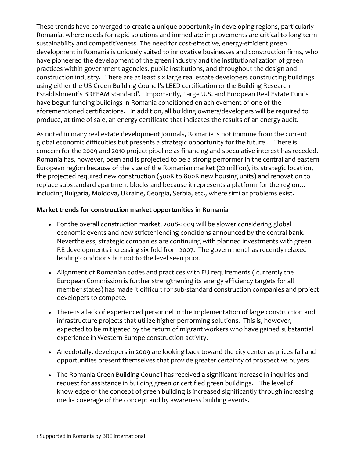These trends have converged to create a unique opportunity in developing regions, particularly Romania, where needs for rapid solutions and immediate improvements are critical to long term sustainability and competitiveness. The need for cost-effective, energy-efficient green development in Romania is uniquely suited to innovative businesses and construction firms, who have pioneered the development of the green industry and the institutionalization of green practices within government agencies, public institutions, and throughout the design and construction industry. There are at least six large real estate developers constructing buildings using either the US Green Building Council's LEED certification or the Building Research Establishment's BREEAM standard<sup>1</sup>. Importantly, Large U.S. and European Real Estate Funds have begun funding buildings in Romania conditioned on achievement of one of the aforementioned certifications. In addition, all building owners/developers will be required to produce, at time of sale, an energy certificate that indicates the results of an energy audit.

As noted in many real estate development journals, Romania is not immune from the current global economic difficulties but presents a strategic opportunity for the future . There is concern for the 2009 and 2010 project pipeline as financing and speculative interest has receded. Romania has, however, been and is projected to be a strong performer in the central and eastern European region because of the size of the Romanian market (22 million), its strategic location, the projected required new construction (500K to 800K new housing units) and renovation to replace substandard apartment blocks and because it represents a platform for the region… including Bulgaria, Moldova, Ukraine, Georgia, Serbia, etc., where similar problems exist.

## **Market trends for construction market opportunities in Romania**

- For the overall construction market, 2008-2009 will be slower considering global economic events and new stricter lending conditions announced by the central bank. Nevertheless, strategic companies are continuing with planned investments with green RE developments increasing six fold from 2007. The government has recently relaxed lending conditions but not to the level seen prior.
- Alignment of Romanian codes and practices with EU requirements ( currently the European Commission is further strengthening its energy efficiency targets for all member states) has made it difficult for sub-standard construction companies and project developers to compete.
- There is a lack of experienced personnel in the implementation of large construction and infrastructure projects that utilize higher performing solutions. This is, however, expected to be mitigated by the return of migrant workers who have gained substantial experience in Western Europe construction activity.
- Anecdotally, developers in 2009 are looking back toward the city center as prices fall and opportunities present themselves that provide greater certainty of prospective buyers.
- The Romania Green Building Council has received a significant increase in inquiries and request for assistance in building green or certified green buildings. The level of knowledge of the concept of green building is increased significantly through increasing media coverage of the concept and by awareness building events.

 $\overline{a}$ 

<sup>1</sup> Supported in Romania by BRE International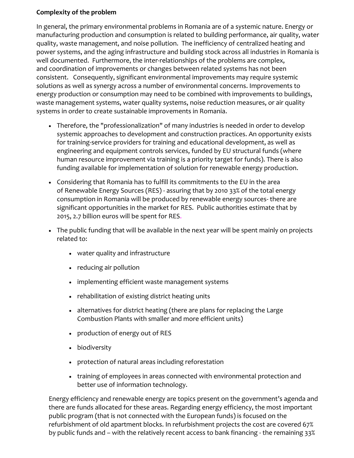#### **Complexity of the problem**

In general, the primary environmental problems in Romania are of a systemic nature. Energy or manufacturing production and consumption is related to building performance, air quality, water quality, waste management, and noise pollution. The inefficiency of centralized heating and power systems, and the aging infrastructure and building stock across all industries in Romania is well documented. Furthermore, the inter-relationships of the problems are complex, and coordination of improvements or changes between related systems has not been consistent. Consequently, significant environmental improvements may require systemic solutions as well as synergy across a number of environmental concerns. Improvements to energy production or consumption may need to be combined with improvements to buildings, waste management systems, water quality systems, noise reduction measures, or air quality systems in order to create sustainable improvements in Romania.

- Therefore, the "professionalization" of many industries is needed in order to develop systemic approaches to development and construction practices. An opportunity exists for training-service providers for training and educational development, as well as engineering and equipment controls services, funded by EU structural funds (where human resource improvement via training is a priority target for funds). There is also funding available for implementation of solution for renewable energy production.
- Considering that Romania has to fulfill its commitments to the EU in the area of Renewable Energy Sources (RES) - assuring that by 2010 33% of the total energy consumption in Romania will be produced by renewable energy sources- there are significant opportunities in the market for RES. Public authorities estimate that by 2015, 2.7 billion euros will be spent for RES.
- The public funding that will be available in the next year will be spent mainly on projects related to:
	- water quality and infrastructure
	- reducing air pollution
	- implementing efficient waste management systems
	- rehabilitation of existing district heating units
	- alternatives for district heating (there are plans for replacing the Large Combustion Plants with smaller and more efficient units)
	- production of energy out of RES
	- biodiversity
	- protection of natural areas including reforestation
	- training of employees in areas connected with environmental protection and better use of information technology.

Energy efficiency and renewable energy are topics present on the government's agenda and there are funds allocated for these areas. Regarding energy efficiency, the most important public program (that is not connected with the European funds) is focused on the refurbishment of old apartment blocks. In refurbishment projects the cost are covered 67% by public funds and – with the relatively recent access to bank financing - the remaining 33%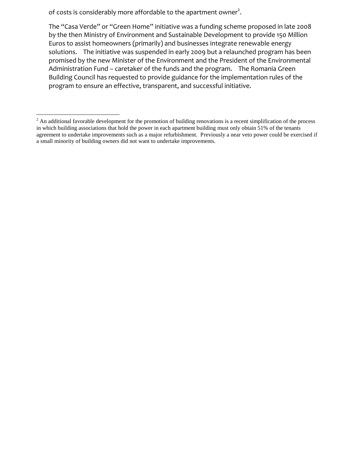of costs is considerably more affordable to the apartment owner<sup>2</sup>.

The "Casa Verde" or "Green Home" initiative was a funding scheme proposed in late 2008 by the then Ministry of Environment and Sustainable Development to provide 150 Million Euros to assist homeowners (primarily) and businesses integrate renewable energy solutions. The initiative was suspended in early 2009 but a relaunched program has been promised by the new Minister of the Environment and the President of the Environmental Administration Fund – caretaker of the funds and the program. The Romania Green Building Council has requested to provide guidance for the implementation rules of the program to ensure an effective, transparent, and successful initiative.

 $\overline{a}$  $<sup>2</sup>$  An additional favorable development for the promotion of building renovations is a recent simplification of the process</sup> in which building associations that hold the power in each apartment building must only obtain 51% of the tenants agreement to undertake improvements such as a major refurbishment. Previously a near veto power could be exercised if a small minority of building owners did not want to undertake improvements.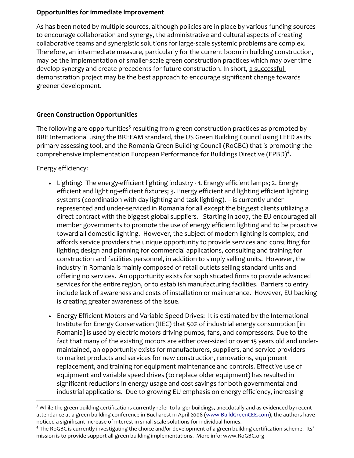#### **Opportunities for immediate improvement**

As has been noted by multiple sources, although policies are in place by various funding sources to encourage collaboration and synergy, the administrative and cultural aspects of creating collaborative teams and synergistic solutions for large-scale systemic problems are complex. Therefore, an intermediate measure, particularly for the current boom in building construction, may be the implementation of smaller-scale green construction practices which may over time develop synergy and create precedents for future construction. In short, a successful demonstration project may be the best approach to encourage significant change towards greener development.

## **Green Construction Opportunities**

The following are opportunities $^3$  resulting from green construction practices as promoted by BRE International using the BREEAM standard, the US Green Building Council using LEED as its primary assessing tool, and the Romania Green Building Council (RoGBC) that is promoting the comprehensive implementation European Performance for Buildings Directive (EPBD)<sup>4</sup>.

## Energy efficiency:

- Lighting: The energy-efficient lighting industry 1. Energy efficient lamps; 2. Energy efficient and lighting-efficient fixtures; 3. Energy efficient and lighting efficient lighting systems (coordination with day lighting and task lighting). – is currently underrepresented and under-serviced in Romania for all except the biggest clients utilizing a direct contract with the biggest global suppliers. Starting in 2007, the EU encouraged all member governments to promote the use of energy efficient lighting and to be proactive toward all domestic lighting. However, the subject of modern lighting is complex, and affords service providers the unique opportunity to provide services and consulting for lighting design and planning for commercial applications, consulting and training for construction and facilities personnel, in addition to simply selling units. However, the industry in Romania is mainly composed of retail outlets selling standard units and offering no services. An opportunity exists for sophisticated firms to provide advanced services for the entire region, or to establish manufacturing facilities. Barriers to entry include lack of awareness and costs of installation or maintenance. However, EU backing is creating greater awareness of the issue.
- Energy Efficient Motors and Variable Speed Drives: It is estimated by the International Institute for Energy Conservation (IIEC) that 50% of industrial energy consumption [in Romania] is used by electric motors driving pumps, fans, and compressors. Due to the fact that many of the existing motors are either over-sized or over 15 years old and undermaintained, an opportunity exists for manufacturers, suppliers, and service-providers to market products and services for new construction, renovations, equipment replacement, and training for equipment maintenance and controls. Effective use of equipment and variable speed drives (to replace older equipment) has resulted in significant reductions in energy usage and cost savings for both governmental and industrial applications. Due to growing EU emphasis on energy efficiency, increasing

 $\overline{a}$ <sup>3</sup> While the green building certifications currently refer to larger buildings, anecdotally and as evidenced by recent attendance at a green building conference in Bucharest in April 2008 [\(www.BuildGreenCEE.com\)](http://www.buildgreencee.com/), the authors have noticed a significant increase of interest in small scale solutions for individual homes.

<sup>&</sup>lt;sup>4</sup> The RoGBC is currently investigating the choice and/or development of a green building certification scheme. Its' mission is to provide support all green building implementations. More info: www.RoGBC.org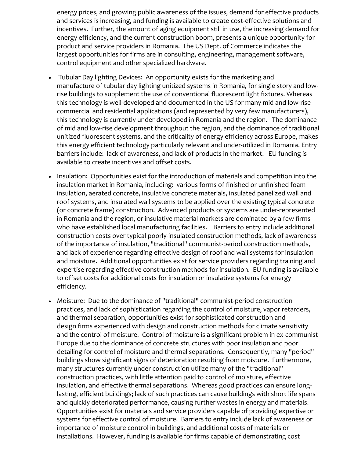energy prices, and growing public awareness of the issues, demand for effective products and services is increasing, and funding is available to create cost-effective solutions and incentives. Further, the amount of aging equipment still in use, the increasing demand for energy efficiency, and the current construction boom, presents a unique opportunity for product and service providers in Romania. The US Dept. of Commerce indicates the largest opportunities for firms are in consulting, engineering, management software, control equipment and other specialized hardware.

- Tubular Day lighting Devices: An opportunity exists for the marketing and manufacture of tubular day lighting unitized systems in Romania, for single story and lowrise buildings to supplement the use of conventional fluorescent light fixtures. Whereas this technology is well-developed and documented in the US for many mid and low-rise commercial and residential applications (and represented by very few manufacturers), this technology is currently under-developed in Romania and the region. The dominance of mid and low-rise development throughout the region, and the dominance of traditional unitized fluorescent systems, and the criticality of energy efficiency across Europe, makes this energy efficient technology particularly relevant and under-utilized in Romania. Entry barriers include: lack of awareness, and lack of products in the market. EU funding is available to create incentives and offset costs.
- Insulation: Opportunities exist for the introduction of materials and competition into the insulation market in Romania, including: various forms of finished or unfinished foam insulation, aerated concrete, insulative concrete materials, insulated panelized wall and roof systems, and insulated wall systems to be applied over the existing typical concrete (or concrete frame) construction. Advanced products or systems are under-represented in Romania and the region, or insulative material markets are dominated by a few firms who have established local manufacturing facilities. Barriers to entry include additional construction costs over typical poorly-insulated construction methods, lack of awareness of the importance of insulation, "traditional" communist-period construction methods, and lack of experience regarding effective design of roof and wall systems for insulation and moisture. Additional opportunities exist for service providers regarding training and expertise regarding effective construction methods for insulation. EU funding is available to offset costs for additional costs for insulation or insulative systems for energy efficiency.
- Moisture: Due to the dominance of "traditional" communist-period construction practices, and lack of sophistication regarding the control of moisture, vapor retarders, and thermal separation, opportunities exist for sophisticated construction and design firms experienced with design and construction methods for climate sensitivity and the control of moisture. Control of moisture is a significant problem in ex-communist Europe due to the dominance of concrete structures with poor insulation and poor detailing for control of moisture and thermal separations. Consequently, many "period" buildings show significant signs of deterioration resulting from moisture. Furthermore, many structures currently under construction utilize many of the "traditional" construction practices, with little attention paid to control of moisture, effective insulation, and effective thermal separations. Whereas good practices can ensure longlasting, efficient buildings; lack of such practices can cause buildings with short life spans and quickly deteriorated performance, causing further wastes in energy and materials. Opportunities exist for materials and service providers capable of providing expertise or systems for effective control of moisture. Barriers to entry include lack of awareness or importance of moisture control in buildings, and additional costs of materials or installations. However, funding is available for firms capable of demonstrating cost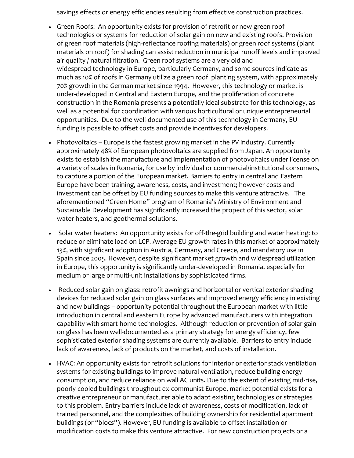savings effects or energy efficiencies resulting from effective construction practices.

- Green Roofs: An opportunity exists for provision of retrofit or new green roof technologies or systems for reduction of solar gain on new and existing roofs. Provision of green roof materials (high-reflectance roofing materials) or green roof systems (plant materials on roof) for shading can assist reduction in municipal runoff levels and improved air quality / natural filtration. Green roof systems are a very old and widespread technology in Europe, particularly Germany, and some sources indicate as much as 10% of roofs in Germany utilize a green roof planting system, with approximately 70% growth in the German market since 1994. However, this technology or market is under-developed in Central and Eastern Europe, and the proliferation of concrete construction in the Romania presents a potentially ideal substrate for this technology, as well as a potential for coordination with various horticultural or unique entrepreneurial opportunities. Due to the well-documented use of this technology in Germany, EU funding is possible to offset costs and provide incentives for developers.
- Photovoltaics Europe is the fastest growing market in the PV industry. Currently approximately 48% of European photovoltaics are supplied from Japan. An opportunity exists to establish the manufacture and implementation of photovoltaics under license on a variety of scales in Romania, for use by individual or commercial/institutional consumers, to capture a portion of the European market. Barriers to entry in central and Eastern Europe have been training, awareness, costs, and investment; however costs and investment can be offset by EU funding sources to make this venture attractive. The aforementioned "Green Home" program of Romania's Ministry of Environment and Sustainable Development has significantly increased the propect of this sector, solar water heaters, and geothermal solutions.
- Solar water heaters: An opportunity exists for off-the-grid building and water heating: to reduce or eliminate load on LCP. Average EU growth rates in this market of approximately 13%, with significant adoption in Austria, Germany, and Greece, and mandatory use in Spain since 2005. However, despite significant market growth and widespread utilization in Europe, this opportunity is significantly under-developed in Romania, especially for medium or large or multi-unit installations by sophisticated firms.
- Reduced solar gain on glass: retrofit awnings and horizontal or vertical exterior shading devices for reduced solar gain on glass surfaces and improved energy efficiency in existing and new buildings – opportunity potential throughout the European market with little introduction in central and eastern Europe by advanced manufacturers with integration capability with smart-home technologies. Although reduction or prevention of solar gain on glass has been well-documented as a primary strategy for energy efficiency, few sophisticated exterior shading systems are currently available. Barriers to entry include lack of awareness, lack of products on the market, and costs of installation.
- HVAC: An opportunity exists for retrofit solutions for interior or exterior stack ventilation systems for existing buildings to improve natural ventilation, reduce building energy consumption, and reduce reliance on wall AC units. Due to the extent of existing mid-rise, poorly-cooled buildings throughout ex-communist Europe, market potential exists for a creative entrepreneur or manufacturer able to adapt existing technologies or strategies to this problem. Entry barriers include lack of awareness, costs of modification, lack of trained personnel, and the complexities of building ownership for residential apartment buildings (or "blocs"). However, EU funding is available to offset installation or modification costs to make this venture attractive. For new construction projects or a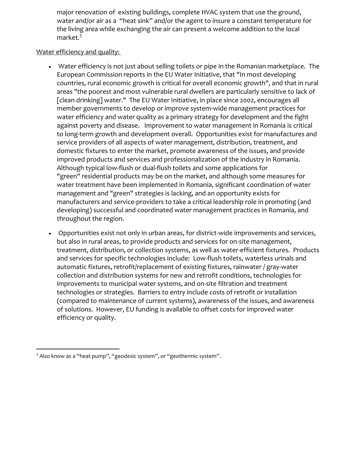major renovation of existing buildings, complete HVAC system that use the ground, water and/or air as a "heat sink" and/or the agent to insure a constant temperature for the living area while exchanging the air can present a welcome addition to the local market.<sup>5</sup>

#### Water efficiency and quality:

- Water efficiency is not just about selling toilets or pipe in the Romanian marketplace. The European Commission reports in the EU Water Initiative, that "In most developing countries, rural economic growth is critical for overall economic growth", and that in rural areas "the poorest and most vulnerable rural dwellers are particularly sensitive to lack of [clean drinking] water." The EU Water Initiative, in place since 2002, encourages all member governments to develop or improve system-wide management practices for water efficiency and water quality as a primary strategy for development and the fight against poverty and disease. Improvement to water management in Romania is critical to long-term growth and development overall. Opportunities exist for manufactures and service providers of all aspects of water management, distribution, treatment, and domestic fixtures to enter the market, promote awareness of the issues, and provide improved products and services and professionalization of the industry in Romania. Although typical low-flush or dual-flush toilets and some applications for "green" residential products may be on the market, and although some measures for water treatment have been implemented in Romania, significant coordination of water management and "green" strategies is lacking, and an opportunity exists for manufacturers and service-providers to take a critical leadership role in promoting (and developing) successful and coordinated water management practices in Romania, and throughout the region.
- Opportunities exist not only in urban areas, for district-wide improvements and services, but also in rural areas, to provide products and services for on-site management, treatment, distribution, or collection systems, as well as water-efficient fixtures. Products and services for specific technologies include: Low-flush toilets, waterless urinals and automatic fixtures, retrofit/replacement of existing fixtures, rainwater / gray-water collection and distribution systems for new and retrofit conditions, technologies for improvements to municipal water systems, and on-site filtration and treatment technologies or strategies. Barriers to entry include costs of retrofit or installation (compared to maintenance of current systems), awareness of the issues, and awareness of solutions. However, EU funding is available to offset costs for improved water efficiency or quality.

 $\overline{a}$ 

 $3$  Also know as a "heat pump", "geodesic system", or "geothermic system".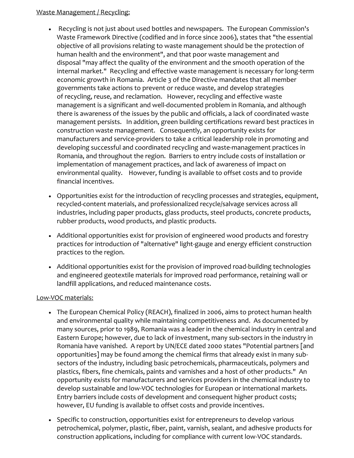### Waste Management / Recycling:

- Recycling is not just about used bottles and newspapers. The European Commission's Waste Framework Directive (codified and in force since 2006), states that "the essential objective of all provisions relating to waste management should be the protection of human health and the environment", and that poor waste management and disposal "may affect the quality of the environment and the smooth operation of the internal market." Recycling and effective waste management is necessary for long-term economic growth in Romania. Article 3 of the Directive mandates that all member governments take actions to prevent or reduce waste, and develop strategies of recycling, reuse, and reclamation. However, recycling and effective waste management is a significant and well-documented problem in Romania, and although there is awareness of the issues by the public and officials, a lack of coordinated waste management persists. In addition, green building certifications reward best practices in construction waste management. Consequently, an opportunity exists for manufacturers and service-providers to take a critical leadership role in promoting and developing successful and coordinated recycling and waste-management practices in Romania, and throughout the region. Barriers to entry include costs of installation or implementation of management practices, and lack of awareness of impact on environmental quality. However, funding is available to offset costs and to provide financial incentives.
- Opportunities exist for the introduction of recycling processes and strategies, equipment, recycled-content materials, and professionalized recycle/salvage services across all industries, including paper products, glass products, steel products, concrete products, rubber products, wood products, and plastic products.
- Additional opportunities exist for provision of engineered wood products and forestry practices for introduction of "alternative" light-gauge and energy efficient construction practices to the region.
- Additional opportunities exist for the provision of improved road-building technologies and engineered geotextile materials for improved road performance, retaining wall or landfill applications, and reduced maintenance costs.

#### Low-VOC materials:

- The European Chemical Policy (REACH), finalized in 2006, aims to protect human health and environmental quality while maintaining competitiveness and. As documented by many sources, prior to 1989, Romania was a leader in the chemical industry in central and Eastern Europe; however, due to lack of investment, many sub-sectors in the industry in Romania have vanished. A report by UN/ECE dated 2000 states "Potential partners [and opportunities] may be found among the chemical firms that already exist in many subsectors of the industry, including basic petrochemicals, pharmaceuticals, polymers and plastics, fibers, fine chemicals, paints and varnishes and a host of other products." An opportunity exists for manufacturers and services providers in the chemical industry to develop sustainable and low-VOC technologies for European or international markets. Entry barriers include costs of development and consequent higher product costs; however, EU funding is available to offset costs and provide incentives.
- Specific to construction, opportunities exist for entrepreneurs to develop various petrochemical, polymer, plastic, fiber, paint, varnish, sealant, and adhesive products for construction applications, including for compliance with current low-VOC standards.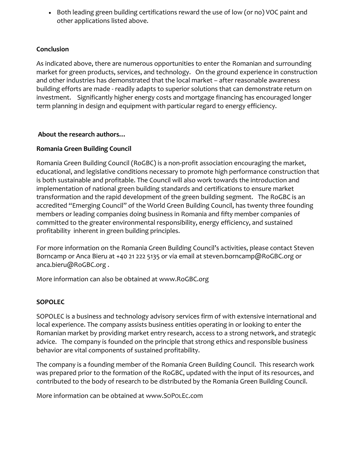• Both leading green building certifications reward the use of low (or no) VOC paint and other applications listed above.

## **Conclusion**

As indicated above, there are numerous opportunities to enter the Romanian and surrounding market for green products, services, and technology. On the ground experience in construction and other industries has demonstrated that the local market – after reasonable awareness building efforts are made - readily adapts to superior solutions that can demonstrate return on investment. Significantly higher energy costs and mortgage financing has encouraged longer term planning in design and equipment with particular regard to energy efficiency.

## **About the research authors…**

# **Romania Green Building Council**

Romania Green Building Council (RoGBC) is a non-profit association encouraging the market, educational, and legislative conditions necessary to promote high performance construction that is both sustainable and profitable. The Council will also work towards the introduction and implementation of national green building standards and certifications to ensure market transformation and the rapid development of the green building segment. The RoGBC is an accredited "Emerging Council" of the World Green Building Council, has twenty three founding members or leading companies doing business in Romania and fifty member companies of committed to the greater environmental responsibility, energy efficiency, and sustained profitability inherent in green building principles.

For more information on the Romania Green Building Council's activities, please contact Steven Borncamp or Anca Bieru at +40 21 222 5135 or via email at [steven.borncamp@RoGBC.org](mailto:steven.borncamp@RoGBC.org) or [anca.bieru@RoGBC.org](mailto:anca.bieru@RoGBC.org) .

More information can also be obtained at www.RoGBC.org

# **SOPOLEC**

SOPOLEC is a business and technology advisory services firm of with extensive international and local experience. The company assists business entities operating in or looking to enter the Romanian market by providing market entry research, access to a strong network, and strategic advice. The company is founded on the principle that strong ethics and responsible business behavior are vital components of sustained profitability.

The company is a founding member of the Romania Green Building Council. This research work was prepared prior to the formation of the RoGBC, updated with the input of its resources, and contributed to the body of research to be distributed by the Romania Green Building Council.

More information can be obtained at www.SOPOLEC.com